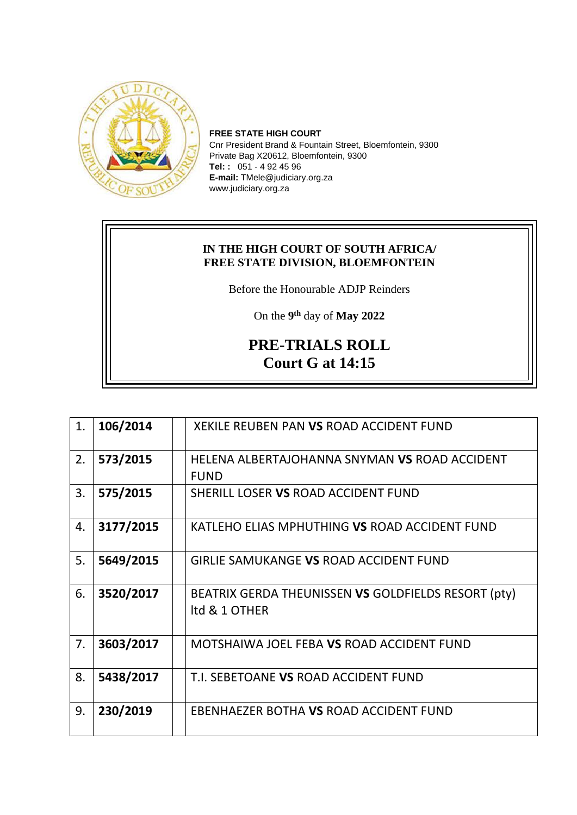

**FREE STATE HIGH COURT** Cnr President Brand & Fountain Street, Bloemfontein, 9300 Private Bag X20612, Bloemfontein, 9300 **Tel: :** 051 - 4 92 45 96 **E-mail:** TMele@judiciary.org.za www.judiciary.org.za

## **IN THE HIGH COURT OF SOUTH AFRICA/ FREE STATE DIVISION, BLOEMFONTEIN**

Before the Honourable ADJP Reinders

On the **9 th** day of **May 2022**

## **PRE-TRIALS ROLL Court G at 14:15**

| 1. | 106/2014  | XEKILE REUBEN PAN VS ROAD ACCIDENT FUND             |
|----|-----------|-----------------------------------------------------|
| 2. | 573/2015  | HELENA ALBERTAJOHANNA SNYMAN VS ROAD ACCIDENT       |
|    |           | <b>FUND</b>                                         |
| 3. | 575/2015  | SHERILL LOSER VS ROAD ACCIDENT FUND                 |
| 4. | 3177/2015 | KATLEHO ELIAS MPHUTHING VS ROAD ACCIDENT FUND       |
| 5. | 5649/2015 | <b>GIRLIE SAMUKANGE VS ROAD ACCIDENT FUND</b>       |
| 6. | 3520/2017 | BEATRIX GERDA THEUNISSEN VS GOLDFIELDS RESORT (pty) |
|    |           | Itd & 1 OTHER                                       |
|    |           |                                                     |
| 7. | 3603/2017 | MOTSHAIWA JOEL FEBA VS ROAD ACCIDENT FUND           |
| 8. | 5438/2017 | T.I. SEBETOANE VS ROAD ACCIDENT FUND                |
| 9. | 230/2019  | EBENHAEZER BOTHA VS ROAD ACCIDENT FUND              |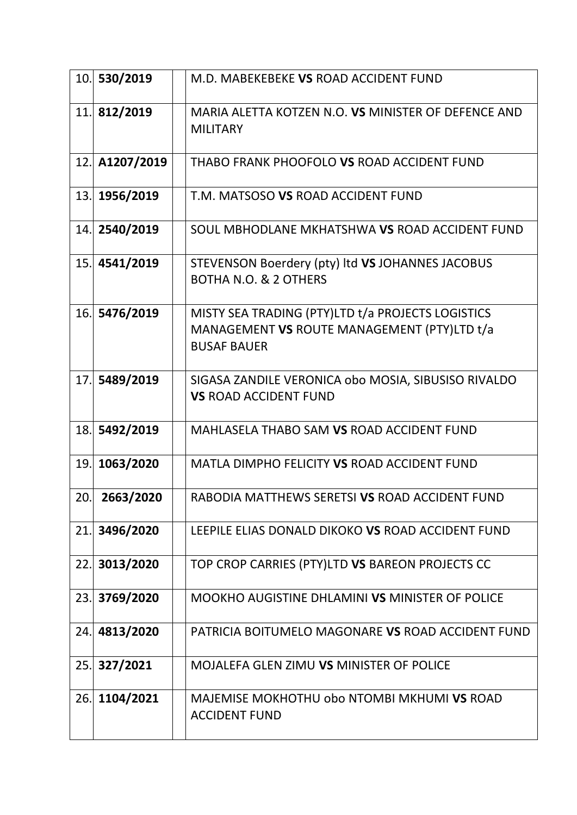| 10. | 530/2019       | M.D. MABEKEBEKE VS ROAD ACCIDENT FUND                                                                                  |
|-----|----------------|------------------------------------------------------------------------------------------------------------------------|
|     | 11. 812/2019   | MARIA ALETTA KOTZEN N.O. VS MINISTER OF DEFENCE AND<br><b>MILITARY</b>                                                 |
|     | 12. A1207/2019 | THABO FRANK PHOOFOLO VS ROAD ACCIDENT FUND                                                                             |
| 13. | 1956/2019      | T.M. MATSOSO VS ROAD ACCIDENT FUND                                                                                     |
| 14. | 2540/2019      | SOUL MBHODLANE MKHATSHWA VS ROAD ACCIDENT FUND                                                                         |
| 15. | 4541/2019      | STEVENSON Boerdery (pty) Itd VS JOHANNES JACOBUS<br><b>BOTHA N.O. &amp; 2 OTHERS</b>                                   |
| 16. | 5476/2019      | MISTY SEA TRADING (PTY)LTD t/a PROJECTS LOGISTICS<br>MANAGEMENT VS ROUTE MANAGEMENT (PTY)LTD t/a<br><b>BUSAF BAUER</b> |
| 17. | 5489/2019      | SIGASA ZANDILE VERONICA obo MOSIA, SIBUSISO RIVALDO<br><b>VS ROAD ACCIDENT FUND</b>                                    |
| 18. | 5492/2019      | MAHLASELA THABO SAM VS ROAD ACCIDENT FUND                                                                              |
| 19. | 1063/2020      | MATLA DIMPHO FELICITY VS ROAD ACCIDENT FUND                                                                            |
| 20. | 2663/2020      | RABODIA MATTHEWS SERETSI VS ROAD ACCIDENT FUND                                                                         |
| 21. | 3496/2020      | LEEPILE ELIAS DONALD DIKOKO VS ROAD ACCIDENT FUND                                                                      |
|     | 22. 3013/2020  | TOP CROP CARRIES (PTY)LTD VS BAREON PROJECTS CC                                                                        |
|     | 23. 3769/2020  | MOOKHO AUGISTINE DHLAMINI VS MINISTER OF POLICE                                                                        |
| 24. | 4813/2020      | PATRICIA BOITUMELO MAGONARE VS ROAD ACCIDENT FUND                                                                      |
| 25. | 327/2021       | MOJALEFA GLEN ZIMU VS MINISTER OF POLICE                                                                               |
| 26. | 1104/2021      | MAJEMISE MOKHOTHU obo NTOMBI MKHUMI VS ROAD<br><b>ACCIDENT FUND</b>                                                    |